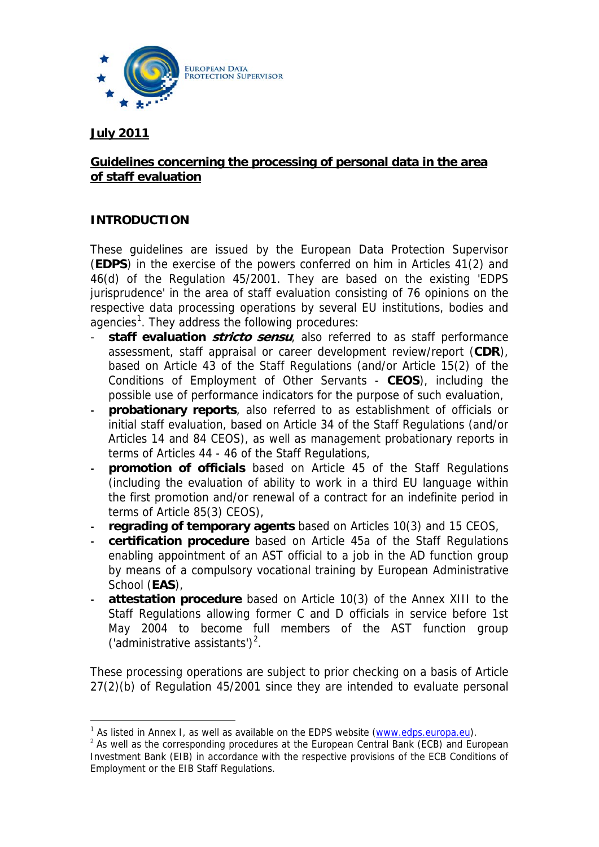

#### **July 2011**

 $\overline{a}$ 

### **Guidelines concerning the processing of personal data in the area of staff evaluation**

### **INTRODUCTION**

These guidelines are issued by the European Data Protection Supervisor (**EDPS**) in the exercise of the powers conferred on him in Articles 41(2) and 46(d) of the Regulation 45/2001. They are based on the existing 'EDPS jurisprudence' in the area of staff evaluation consisting of 76 opinions on the respective data processing operations by several EU institutions, bodies and agencies<sup>[1](#page-0-0)</sup>. They address the following procedures:

- **staff evaluation** *stricto sensu*, also referred to as staff performance assessment, staff appraisal or career development review/report (**CDR**), based on Article 43 of the Staff Regulations (and/or Article 15(2) of the Conditions of Employment of Other Servants - **CEOS**), including the possible use of performance indicators for the purpose of such evaluation,
- **‐ probationary reports**, also referred to as establishment of officials or initial staff evaluation, based on Article 34 of the Staff Regulations (and/or Articles 14 and 84 CEOS), as well as management probationary reports in terms of Articles 44 - 46 of the Staff Regulations,
- **‐ promotion of officials** based on Article 45 of the Staff Regulations (including the evaluation of ability to work in a third EU language within the first promotion and/or renewal of a contract for an indefinite period in terms of Article 85(3) CEOS),
- **‐ regrading of temporary agents** based on Articles 10(3) and 15 CEOS,
- **‐ certification procedure** based on Article 45a of the Staff Regulations enabling appointment of an AST official to a job in the AD function group by means of a compulsory vocational training by European Administrative School (**EAS**),
- **‐ attestation procedure** based on Article 10(3) of the Annex XIII to the Staff Regulations allowing former C and D officials in service before 1st May 2004 to become full members of the AST function group ('administrative assistants')<sup>[2](#page-0-1)</sup>.

These processing operations are subject to prior checking on a basis of Article 27(2)(b) of Regulation 45/2001 since they are intended to evaluate personal

<sup>&</sup>lt;sup>1</sup> As listed in Annex I, as well as available on the EDPS website (www.edps.europa.eu).

<span id="page-0-1"></span><span id="page-0-0"></span> $2$  As well as the corresponding procedures at the European Central Bank (ECB) and European Investment Bank (EIB) in accordance with the respective provisions of the ECB Conditions of Employment or the EIB Staff Regulations.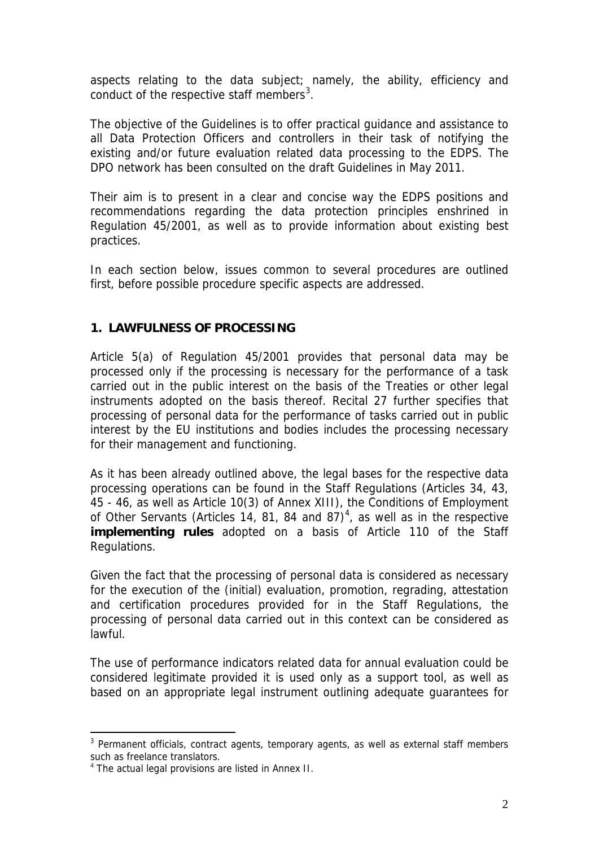aspects relating to the data subject; namely, the ability, efficiency and conduct of the respective staff members<sup>[3](#page-1-0)</sup>.

The objective of the Guidelines is to offer practical guidance and assistance to all Data Protection Officers and controllers in their task of notifying the existing and/or future evaluation related data processing to the EDPS. The DPO network has been consulted on the draft Guidelines in May 2011.

Their aim is to present in a clear and concise way the EDPS positions and recommendations regarding the data protection principles enshrined in Regulation 45/2001, as well as to provide information about existing best practices.

In each section below, issues common to several procedures are outlined first, before possible procedure specific aspects are addressed.

## **1. LAWFULNESS OF PROCESSING**

Article 5(a) of Regulation 45/2001 provides that personal data may be processed only if the processing is necessary for the performance of a task carried out in the public interest on the basis of the Treaties or other legal instruments adopted on the basis thereof. Recital 27 further specifies that processing of personal data for the performance of tasks carried out in public interest by the EU institutions and bodies includes the processing necessary for their management and functioning.

As it has been already outlined above, the legal bases for the respective data processing operations can be found in the Staff Regulations (Articles 34, 43, 45 - 46, as well as Article 10(3) of Annex XIII), the Conditions of Employment of Other Servants (Articles 1[4](#page-1-1), 81, 84 and 87)<sup>4</sup>, as well as in the respective **implementing rules** adopted on a basis of Article 110 of the Staff Regulations.

Given the fact that the processing of personal data is considered as necessary for the execution of the (initial) evaluation, promotion, regrading, attestation and certification procedures provided for in the Staff Regulations, the processing of personal data carried out in this context can be considered as lawful.

The use of performance indicators related data for annual evaluation could be considered legitimate provided it is used only as a support tool, as well as based on an appropriate legal instrument outlining adequate guarantees for

 $\overline{a}$ 

<span id="page-1-0"></span><sup>&</sup>lt;sup>3</sup> Permanent officials, contract agents, temporary agents, as well as external staff members such as freelance translators.

<span id="page-1-1"></span><sup>&</sup>lt;sup>4</sup> The actual legal provisions are listed in Annex II.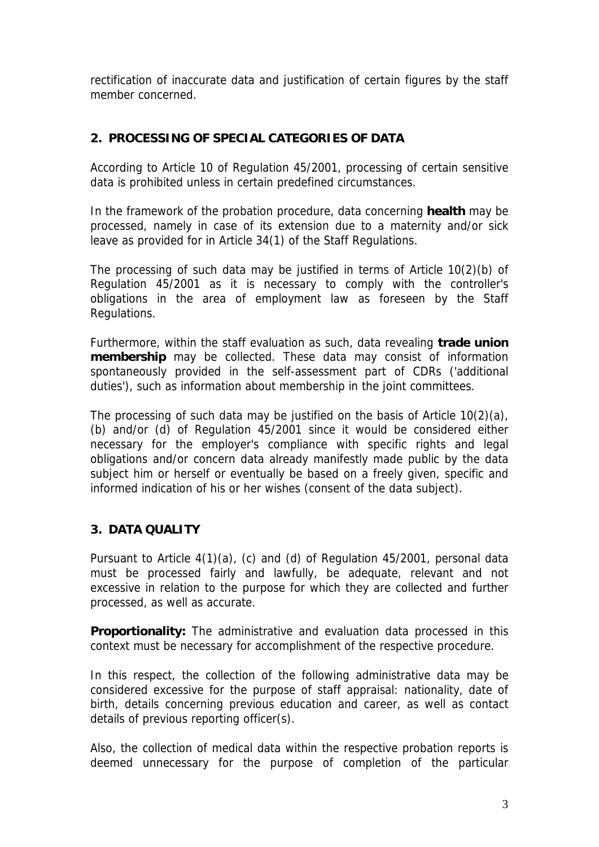rectification of inaccurate data and justification of certain figures by the staff member concerned.

# **2. PROCESSING OF SPECIAL CATEGORIES OF DATA**

According to Article 10 of Regulation 45/2001, processing of certain sensitive data is prohibited unless in certain predefined circumstances.

In the framework of the probation procedure, data concerning **health** may be processed, namely in case of its extension due to a maternity and/or sick leave as provided for in Article 34(1) of the Staff Regulations.

The processing of such data may be justified in terms of Article 10(2)(b) of Regulation 45/2001 as it is necessary to comply with the controller's obligations in the area of employment law as foreseen by the Staff Regulations.

Furthermore, within the staff evaluation as such, data revealing **trade union membership** may be collected. These data may consist of information spontaneously provided in the self-assessment part of CDRs ('additional duties'), such as information about membership in the joint committees.

The processing of such data may be justified on the basis of Article 10(2)(a), (b) and/or (d) of Regulation 45/2001 since it would be considered either necessary for the employer's compliance with specific rights and legal obligations and/or concern data already manifestly made public by the data subject him or herself or eventually be based on a freely given, specific and informed indication of his or her wishes (consent of the data subject).

### **3. DATA QUALITY**

Pursuant to Article 4(1)(a), (c) and (d) of Regulation 45/2001, personal data must be processed fairly and lawfully, be adequate, relevant and not excessive in relation to the purpose for which they are collected and further processed, as well as accurate.

**Proportionality:** The administrative and evaluation data processed in this context must be necessary for accomplishment of the respective procedure.

In this respect, the collection of the following administrative data may be considered excessive for the purpose of staff appraisal: nationality, date of birth, details concerning previous education and career, as well as contact details of previous reporting officer(s).

Also, the collection of medical data within the respective probation reports is deemed unnecessary for the purpose of completion of the particular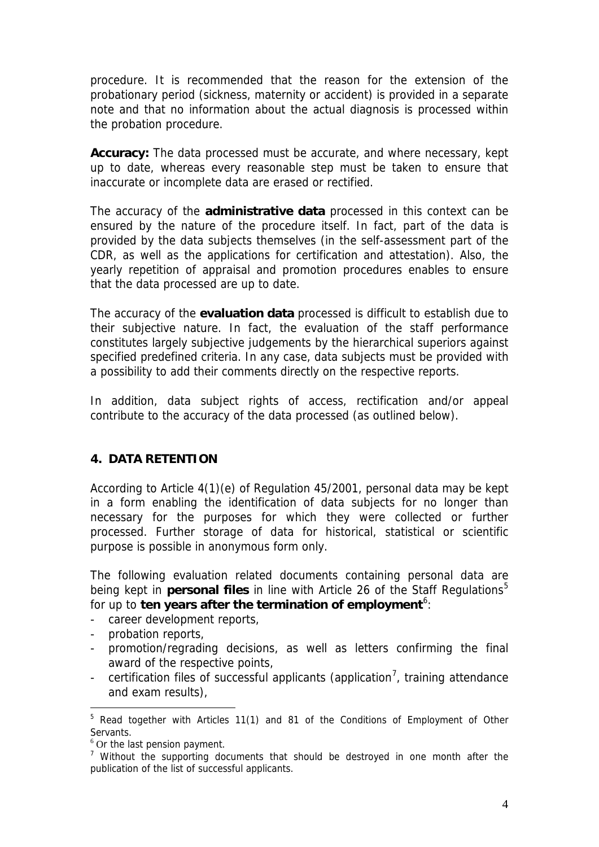procedure. It is recommended that the reason for the extension of the probationary period (sickness, maternity or accident) is provided in a separate note and that no information about the actual diagnosis is processed within the probation procedure.

**Accuracy:** The data processed must be accurate, and where necessary, kept up to date, whereas every reasonable step must be taken to ensure that inaccurate or incomplete data are erased or rectified.

The accuracy of the **administrative data** processed in this context can be ensured by the nature of the procedure itself. In fact, part of the data is provided by the data subjects themselves (in the self-assessment part of the CDR, as well as the applications for certification and attestation). Also, the yearly repetition of appraisal and promotion procedures enables to ensure that the data processed are up to date.

The accuracy of the **evaluation data** processed is difficult to establish due to their subjective nature. In fact, the evaluation of the staff performance constitutes largely subjective judgements by the hierarchical superiors against specified predefined criteria. In any case, data subjects must be provided with a possibility to add their comments directly on the respective reports.

In addition, data subject rights of access, rectification and/or appeal contribute to the accuracy of the data processed (as outlined below).

#### **4. DATA RETENTION**

According to Article 4(1)(e) of Regulation 45/2001, personal data may be kept in a form enabling the identification of data subjects for no longer than necessary for the purposes for which they were collected or further processed. Further storage of data for historical, statistical or scientific purpose is possible in anonymous form only.

The following evaluation related documents containing personal data are being kept in **personal files** in line with Article 26 of the Staff Regulations<sup>[5](#page-3-0)</sup> for up to **ten years after the termination of employment**<sup>[6](#page-3-1)</sup>:

- career development reports,
- probation reports,

 $\overline{a}$ 

- promotion/regrading decisions, as well as letters confirming the final award of the respective points,
- certification files of successful applicants (application<sup>[7](#page-3-2)</sup>, training attendance and exam results),

<span id="page-3-0"></span><sup>&</sup>lt;sup>5</sup> Read together with Articles 11(1) and 81 of the Conditions of Employment of Other Servants.

<sup>&</sup>lt;sup>6</sup> Or the last pension payment.

<span id="page-3-2"></span><span id="page-3-1"></span><sup>&</sup>lt;sup>7</sup> Without the supporting documents that should be destroyed in one month after the publication of the list of successful applicants.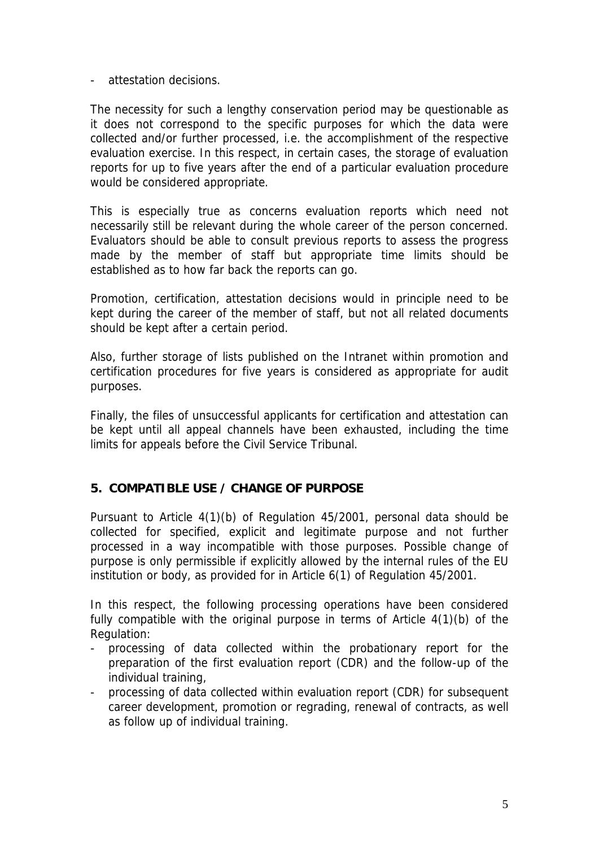- attestation decisions.

The necessity for such a lengthy conservation period may be questionable as it does not correspond to the specific purposes for which the data were collected and/or further processed, i.e. the accomplishment of the respective evaluation exercise. In this respect, in certain cases, the storage of evaluation reports for up to five years after the end of a particular evaluation procedure would be considered appropriate.

This is especially true as concerns evaluation reports which need not necessarily still be relevant during the whole career of the person concerned. Evaluators should be able to consult previous reports to assess the progress made by the member of staff but appropriate time limits should be established as to how far back the reports can go.

Promotion, certification, attestation decisions would in principle need to be kept during the career of the member of staff, but not all related documents should be kept after a certain period.

Also, further storage of lists published on the Intranet within promotion and certification procedures for five years is considered as appropriate for audit purposes.

Finally, the files of unsuccessful applicants for certification and attestation can be kept until all appeal channels have been exhausted, including the time limits for appeals before the Civil Service Tribunal.

# **5. COMPATIBLE USE / CHANGE OF PURPOSE**

Pursuant to Article 4(1)(b) of Regulation 45/2001, personal data should be collected for specified, explicit and legitimate purpose and not further processed in a way incompatible with those purposes. Possible change of purpose is only permissible if explicitly allowed by the internal rules of the EU institution or body, as provided for in Article 6(1) of Regulation 45/2001.

In this respect, the following processing operations have been considered fully compatible with the original purpose in terms of Article 4(1)(b) of the Regulation:

- processing of data collected within the probationary report for the preparation of the first evaluation report (CDR) and the follow-up of the individual training,
- processing of data collected within evaluation report (CDR) for subsequent career development, promotion or regrading, renewal of contracts, as well as follow up of individual training.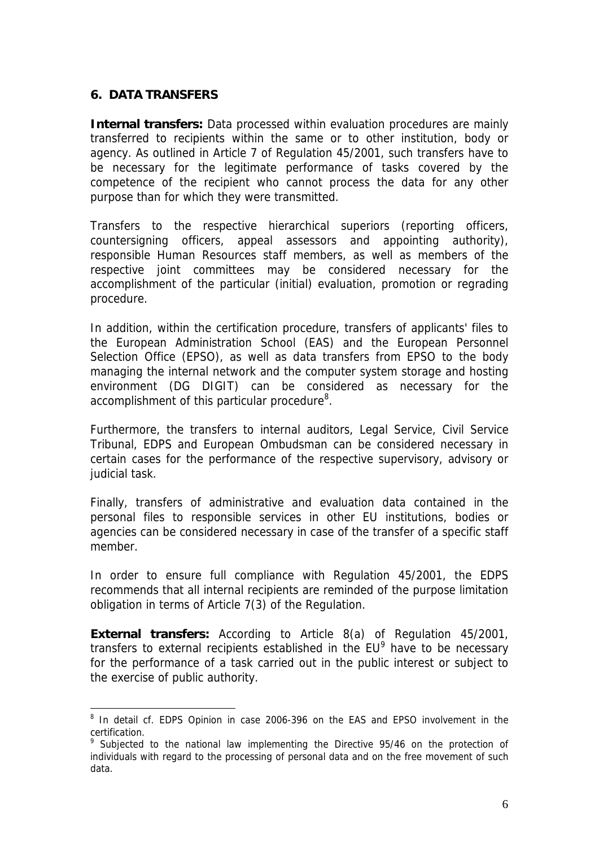### **6. DATA TRANSFERS**

 $\overline{a}$ 

**Internal transfers:** Data processed within evaluation procedures are mainly transferred to recipients within the same or to other institution, body or agency. As outlined in Article 7 of Regulation 45/2001, such transfers have to be necessary for the legitimate performance of tasks covered by the competence of the recipient who cannot process the data for any other purpose than for which they were transmitted.

Transfers to the respective hierarchical superiors (reporting officers, countersigning officers, appeal assessors and appointing authority), responsible Human Resources staff members, as well as members of the respective joint committees may be considered necessary for the accomplishment of the particular (initial) evaluation, promotion or regrading procedure.

In addition, within the certification procedure, transfers of applicants' files to the European Administration School (EAS) and the European Personnel Selection Office (EPSO), as well as data transfers from EPSO to the body managing the internal network and the computer system storage and hosting environment (DG DIGIT) can be considered as necessary for the accomplishment of this particular procedure<sup>[8](#page-5-0)</sup>.

Furthermore, the transfers to internal auditors, Legal Service, Civil Service Tribunal, EDPS and European Ombudsman can be considered necessary in certain cases for the performance of the respective supervisory, advisory or judicial task.

Finally, transfers of administrative and evaluation data contained in the personal files to responsible services in other EU institutions, bodies or agencies can be considered necessary in case of the transfer of a specific staff member.

In order to ensure full compliance with Regulation 45/2001, the EDPS recommends that all internal recipients are reminded of the purpose limitation obligation in terms of Article 7(3) of the Regulation.

**External transfers:** According to Article 8(a) of Regulation 45/2001, transfers to external recipients established in the  $EU^9$  $EU^9$  have to be necessary for the performance of a task carried out in the public interest or subject to the exercise of public authority.

<span id="page-5-0"></span><sup>&</sup>lt;sup>8</sup> In detail cf. EDPS Opinion in case 2006-396 on the EAS and EPSO involvement in the certification.

<span id="page-5-1"></span><sup>&</sup>lt;sup>9</sup> Subjected to the national law implementing the Directive 95/46 on the protection of individuals with regard to the processing of personal data and on the free movement of such data.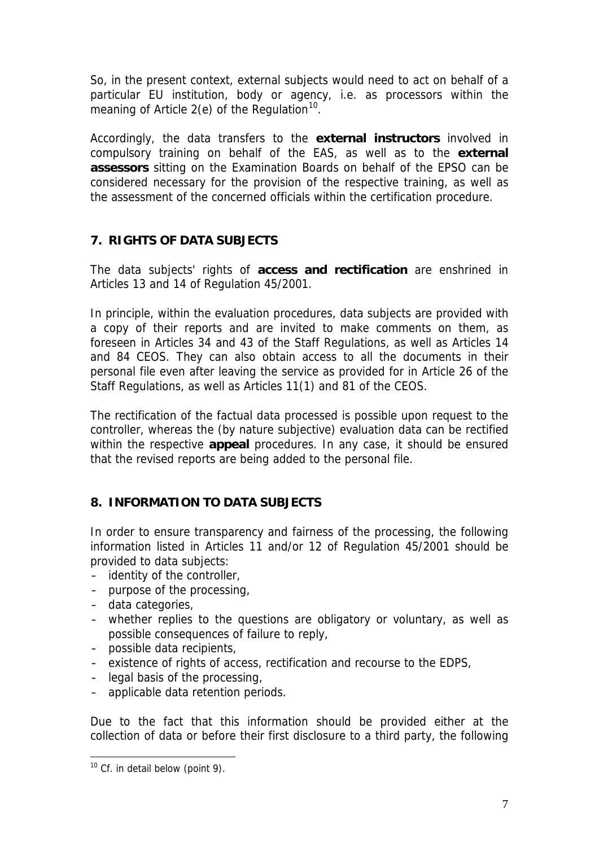So, in the present context, external subjects would need to act on behalf of a particular EU institution, body or agency, i.e. as processors within the meaning of Article 2(e) of the Regulation<sup>10</sup>.

Accordingly, the data transfers to the **external instructors** involved in compulsory training on behalf of the EAS, as well as to the **external assessors** sitting on the Examination Boards on behalf of the EPSO can be considered necessary for the provision of the respective training, as well as the assessment of the concerned officials within the certification procedure.

# **7. RIGHTS OF DATA SUBJECTS**

The data subjects' rights of **access and rectification** are enshrined in Articles 13 and 14 of Regulation 45/2001.

In principle, within the evaluation procedures, data subjects are provided with a copy of their reports and are invited to make comments on them, as foreseen in Articles 34 and 43 of the Staff Regulations, as well as Articles 14 and 84 CEOS. They can also obtain access to all the documents in their personal file even after leaving the service as provided for in Article 26 of the Staff Regulations, as well as Articles 11(1) and 81 of the CEOS.

The rectification of the factual data processed is possible upon request to the controller, whereas the (by nature subjective) evaluation data can be rectified within the respective **appeal** procedures. In any case, it should be ensured that the revised reports are being added to the personal file.

# **8. INFORMATION TO DATA SUBJECTS**

In order to ensure transparency and fairness of the processing, the following information listed in Articles 11 and/or 12 of Regulation 45/2001 should be provided to data subjects:

- ‐ identity of the controller,
- ‐ purpose of the processing,
- ‐ data categories,
- ‐ whether replies to the questions are obligatory or voluntary, as well as possible consequences of failure to reply,
- ‐ possible data recipients,
- ‐ existence of rights of access, rectification and recourse to the EDPS,
- ‐ legal basis of the processing,
- ‐ applicable data retention periods.

Due to the fact that this information should be provided either at the collection of data or before their first disclosure to a third party, the following

 $\overline{a}$ 

<span id="page-6-0"></span> $10$  Cf. in detail below (point 9).